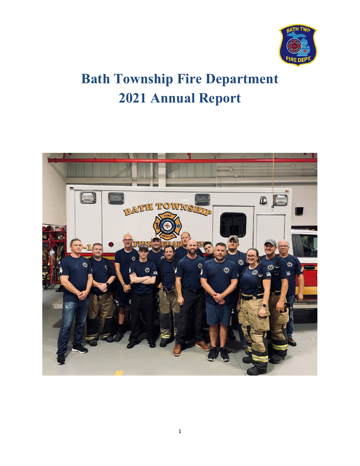

# **Bath Township Fire Department Annual Report**

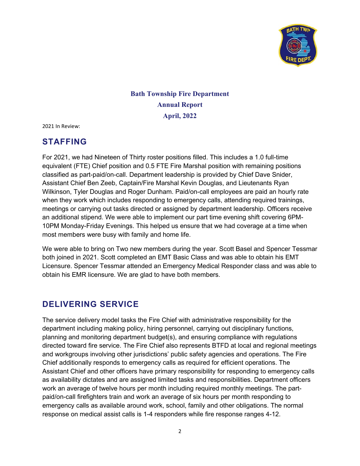

#### **Bath Township Fire Department Annual Report April, 2022**

2021 In Review:

#### **STAFFING**

For 2021, we had Nineteen of Thirty roster positions filled. This includes a 1.0 full-time equivalent (FTE) Chief position and 0.5 FTE Fire Marshal position with remaining positions classified as part-paid/on-call. Department leadership is provided by Chief Dave Snider, Assistant Chief Ben Zeeb, Captain/Fire Marshal Kevin Douglas, and Lieutenants Ryan Wilkinson, Tyler Douglas and Roger Dunham. Paid/on-call employees are paid an hourly rate when they work which includes responding to emergency calls, attending required trainings, meetings or carrying out tasks directed or assigned by department leadership. Officers receive an additional stipend. We were able to implement our part time evening shift covering 6PM-10PM Monday-Friday Evenings. This helped us ensure that we had coverage at a time when most members were busy with family and home life.

We were able to bring on Two new members during the year. Scott Basel and Spencer Tessmar both joined in 2021. Scott completed an EMT Basic Class and was able to obtain his EMT Licensure. Spencer Tessmar attended an Emergency Medical Responder class and was able to obtain his EMR licensure. We are glad to have both members.

#### **DELIVERING SERVICE**

The service delivery model tasks the Fire Chief with administrative responsibility for the department including making policy, hiring personnel, carrying out disciplinary functions, planning and monitoring department budget(s), and ensuring compliance with regulations directed toward fire service. The Fire Chief also represents BTFD at local and regional meetings and workgroups involving other jurisdictions' public safety agencies and operations. The Fire Chief additionally responds to emergency calls as required for efficient operations. The Assistant Chief and other officers have primary responsibility for responding to emergency calls as availability dictates and are assigned limited tasks and responsibilities. Department officers work an average of twelve hours per month including required monthly meetings. The partpaid/on-call firefighters train and work an average of six hours per month responding to emergency calls as available around work, school, family and other obligations. The normal response on medical assist calls is 1-4 responders while fire response ranges 4-12.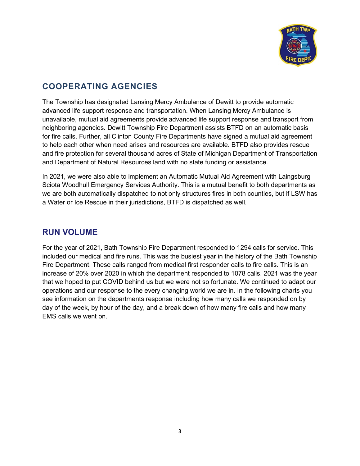

### **COOPERATING AGENCIES**

The Township has designated Lansing Mercy Ambulance of Dewitt to provide automatic advanced life support response and transportation. When Lansing Mercy Ambulance is unavailable, mutual aid agreements provide advanced life support response and transport from neighboring agencies. Dewitt Township Fire Department assists BTFD on an automatic basis for fire calls. Further, all Clinton County Fire Departments have signed a mutual aid agreement to help each other when need arises and resources are available. BTFD also provides rescue and fire protection for several thousand acres of State of Michigan Department of Transportation and Department of Natural Resources land with no state funding or assistance.

In 2021, we were also able to implement an Automatic Mutual Aid Agreement with Laingsburg Sciota Woodhull Emergency Services Authority. This is a mutual benefit to both departments as we are both automatically dispatched to not only structures fires in both counties, but if LSW has a Water or Ice Rescue in their jurisdictions, BTFD is dispatched as well.

#### **RUN VOLUME**

For the year of 2021, Bath Township Fire Department responded to 1294 calls for service. This included our medical and fire runs. This was the busiest year in the history of the Bath Township Fire Department. These calls ranged from medical first responder calls to fire calls. This is an increase of 20% over 2020 in which the department responded to 1078 calls. 2021 was the year that we hoped to put COVID behind us but we were not so fortunate. We continued to adapt our operations and our response to the every changing world we are in. In the following charts you see information on the departments response including how many calls we responded on by day of the week, by hour of the day, and a break down of how many fire calls and how many EMS calls we went on.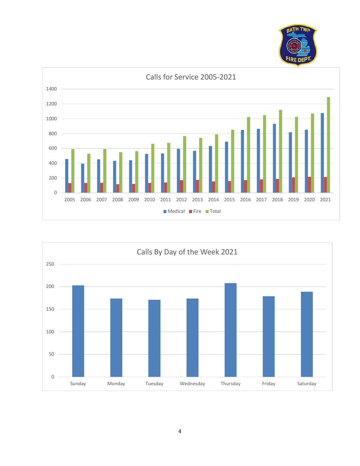



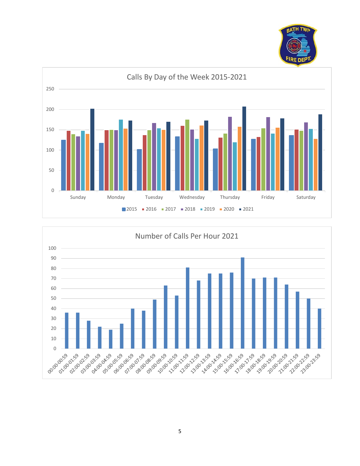



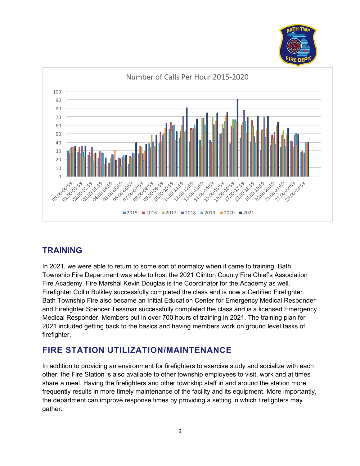



# **TRAINING**

In 2021, we were able to return to some sort of normalcy when it came to training. Bath Township Fire Department was able to host the 2021 Clinton County Fire Chief's Association Fire Academy. Fire Marshal Kevin Douglas is the Coordinator for the Academy as well. Firefighter Collin Bulkley successfully completed the class and is now a Certified Firefighter. Bath Township Fire also became an Initial Education Center for Emergency Medical Responder and Firefighter Spencer Tessmar successfully completed the class and is a licensed Emergency Medical Responder. Members put in over 700 hours of training in 2021. The training plan for 2021 included getting back to the basics and having members work on ground level tasks of firefighter.

# **FIRE STATION UTILIZATION/MAINTENANCE**

In addition to providing an environment for firefighters to exercise study and socialize with each other, the Fire Station is also available to other township employees to visit, work and at times share a meal. Having the firefighters and other township staff in and around the station more frequently results in more timely maintenance of the facility and its equipment. More importantly, the department can improve response times by providing a setting in which firefighters may gather.